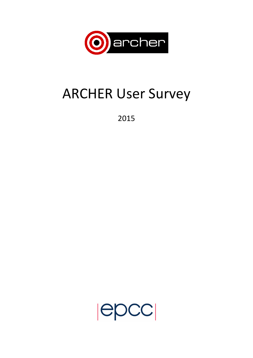

# **ARCHER User Survey**

2015

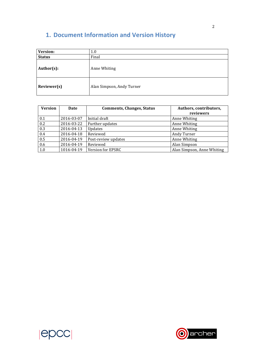## **1. Document Information and Version History**

| Version:      | 1.0                       |  |
|---------------|---------------------------|--|
| <b>Status</b> | Final                     |  |
| Author(s):    | Anne Whiting              |  |
| Reviewer(s)   | Alan Simpson, Andy Turner |  |

| <b>Version</b> | Date       | <b>Comments, Changes, Status</b> | Authors, contributors,<br>reviewers |
|----------------|------------|----------------------------------|-------------------------------------|
| 0.1            | 2016-03-07 | Initial draft                    | Anne Whiting                        |
| 0.2            | 2016-03-22 | Further updates                  | Anne Whiting                        |
| 0.3            | 2016-04-13 | Updates                          | Anne Whiting                        |
| 0.4            | 2016-04-18 | Reviewed                         | Andy Turner                         |
| 0.5            | 2016-04-19 | Post-review updates              | Anne Whiting                        |
| 0.6            | 2016-04-19 | Reviewed                         | Alan Simpson                        |
| 1.0            | 1016-04-19 | Version for EPSRC                | Alan Simpson, Anne Whiting          |



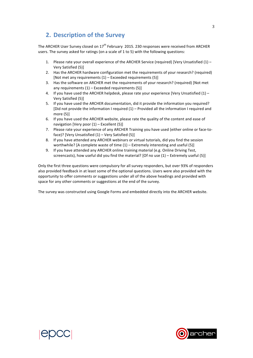## **2. Description of the Survey**

The ARCHER User Survey closed on  $17<sup>th</sup>$  February 2015. 230 responses were received from ARCHER users. The survey asked for ratings (on a scale of 1 to 5) with the following questions:

- 1. Please rate your overall experience of the ARCHER Service (required) [Very Unsatisfied  $(1)$  Very Satisfied (5)]
- 2. Has the ARCHER hardware configuration met the requirements of your research? (required) [Not met any requirements  $(1)$  – Exceeded requirements  $(5)$ ]
- 3. Has the software on ARCHER met the requirements of your research? (required) [Not met any requirements  $(1)$  – Exceeded requirements  $(5)$ ]
- 4. If you have used the ARCHER helpdesk, please rate your experience [Very Unsatisfied  $(1)$  Very Satisfied (5)]
- 5. If you have used the ARCHER documentation, did it provide the information you required? [Did not provide the information I required  $(1)$  – Provided all the information I required and more  $(5)$ ]
- 6. If you have used the ARCHER website, please rate the quality of the content and ease of navigation [Very poor  $(1)$  – Excellent  $(5)$ ]
- 7. Please rate your experience of any ARCHER Training you have used (either online or face-toface)? [Very Unsatisfied  $(1)$  – Very Satisfied  $(5)$ ]
- 8. If you have attended any ARCHER webinars or virtual tutorials, did you find the session worthwhile? [A complete waste of time  $(1)$  – Extremely interesting and useful  $(5)$ ]
- 9. If you have attended any ARCHER online training material (e.g. Online Driving Test, screencasts), how useful did you find the material? [Of no use  $(1)$  – Extremely useful  $(5)$ ]

Only the first three questions were compulsory for all survey responders, but over 93% of responders also provided feedback in at least some of the optional questions. Users were also provided with the opportunity to offer comments or suggestions under all of the above headings and provided with space for any other comments or suggestions at the end of the survey.

The survey was constructed using Google Forms and embedded directly into the ARCHER website.



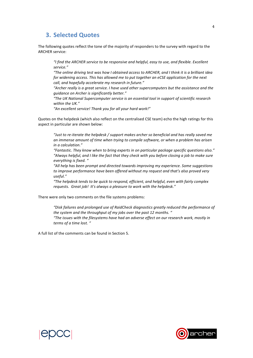### **3. Selected Quotes**

The following quotes reflect the tone of the majority of responders to the survey with regard to the ARCHER service:

"I find the ARCHER service to be responsive and helpful, easy to use, and flexible. Excellent *service."*

*"The* online driving test was how I obtained access to ARCHER, and I think it is a brilliant idea for widening access. This has allowed me to put together an eCSE application for the next call, and hopefully accelerate my research in future."

"Archer really is a great service. I have used other supercomputers but the assistance and the *guidance on Archer is significantly better."*

"The UK National Supercomputer service is an essential tool in support of scientific research within the UK."

"An excellent service! Thank you for all your hard work!"

Quotes on the helpdesk (which also reflect on the centralised CSE team) echo the high ratings for this aspect in particular are shown below:

"Just to re-iterate the helpdesk / support makes archer so beneficial and has really saved me an immense amount of time when trying to compile software, or when a problem has arisen *in a calculation."*

*"Fantastic. They know when to bring experts in on particular package specific questions also."* "Always helpful, and I like the fact that they check with you before closing a job to make sure everything is fixed. "

"All help has been prompt and directed towards improving my experience. Some suggestions to improve performance have been offered without my request and that's also proved very *useful."*

"The helpdesk tends to be quick to respond, efficient, and helpful, even with fairly complex requests. Great job! It's always a pleasure to work with the helpdesk."

There were only two comments on the file systems problems:

"Disk failures and prolonged use of RaidCheck diagnostics greatly reduced the performance of the system and the throughput of my jobs over the past 12 months. " "The issues with the filesystems have had an adverse effect on our research work, mostly in *terms of a time lost. "*

A full list of the comments can be found in Section 5.



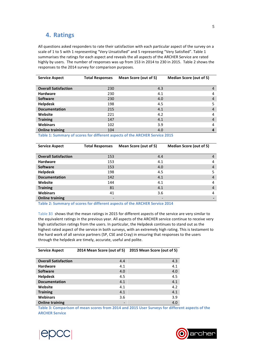## **4. Ratings**

All questions asked responders to rate their satisfaction with each particular aspect of the survey on a scale of 1 to 5 with 1 representing "Very Unsatisfied" and 5 representing "Very Satisfied". Table 1 summarises the ratings for each aspect and reveals the all aspects of the ARCHER Service are rated highly by users. The number of responses was up from 153 in 2014 to 230 in 2015. Table 2 shows the responses to the 2014 survey for comparison purposes.

| <b>Service Aspect</b>                                                      | <b>Total Responses</b> | Mean Score (out of 5) | <b>Median Score (out of 5)</b> |   |
|----------------------------------------------------------------------------|------------------------|-----------------------|--------------------------------|---|
|                                                                            |                        |                       |                                |   |
| <b>Overall Satisfaction</b>                                                | 230                    | 4.3                   |                                | 4 |
| <b>Hardware</b>                                                            | 230                    | 4.1                   |                                | 4 |
| <b>Software</b>                                                            | 230                    | 4.0                   |                                | 4 |
| <b>Helpdesk</b>                                                            | 198                    | 4.5                   |                                | 5 |
| <b>Documentation</b>                                                       | 215                    | 4.1                   |                                | 4 |
| Website                                                                    | 221                    | 4.2                   |                                | 4 |
| <b>Training</b>                                                            | 147                    | 4.1                   |                                | 4 |
| <b>Webinars</b>                                                            | 102                    | 3.9                   |                                | 4 |
| <b>Online training</b>                                                     | 104                    | 4.0                   |                                | 4 |
| within a communication of the different constant of the AMAHEM Admits AAAH |                        |                       |                                |   |

Table 1: Summary of scores for different aspects of the ARCHER Service 2015

| <b>Service Aspect</b>       | <b>Total Responses</b> | Mean Score (out of 5)    | <b>Median Score (out of 5)</b> |  |
|-----------------------------|------------------------|--------------------------|--------------------------------|--|
|                             |                        |                          |                                |  |
| <b>Overall Satisfaction</b> | 153                    | 4.4                      | 4                              |  |
| <b>Hardware</b>             | 153                    | 4.1                      | 4                              |  |
| <b>Software</b>             | 153                    | 4.0                      | 4                              |  |
| <b>Helpdesk</b>             | 198                    | 4.5                      | 5                              |  |
| <b>Documentation</b>        | 142                    | 4.1                      | 4                              |  |
| Website                     | 144                    | 4.1                      | 4                              |  |
| <b>Training</b>             | 81                     | 4.1                      | 4                              |  |
| <b>Webinars</b>             | 41                     | 3.6                      | 4                              |  |
| <b>Online training</b>      |                        | $\overline{\phantom{a}}$ |                                |  |

Table 2: Summary of scores for different aspects of the ARCHER Service 2014

Table 33 shows that the mean ratings in 2015 for different aspects of the service are very similar to the equivalent ratings in the previous year. All aspects of the ARCHER service continue to receive very high satisfaction ratings from the users. In particular, the Helpdesk continues to stand out as the highest rated aspect of the service in both surveys, with an extremely high rating. This is testament to the hard work of all service partners (SP, CSE and Cray) in ensuring that responses to the users through the helpdesk are timely, accurate, useful and polite.

| <b>Service Aspect</b>       | 2014 Mean Score (out of 5) | 2015 Mean Score (out of 5) |
|-----------------------------|----------------------------|----------------------------|
|                             |                            |                            |
| <b>Overall Satisfaction</b> | 4.4                        | 4.3                        |
| <b>Hardware</b>             | 4.1                        | 4.1                        |
| <b>Software</b>             | 4.0                        | 4.0                        |
| <b>Helpdesk</b>             | 4.5                        | 4.5                        |
| <b>Documentation</b>        | 4.1                        | 4.1                        |
| Website                     | 4.1                        | 4.2                        |
| <b>Training</b>             | 4.1                        | 4.1                        |
| <b>Webinars</b>             | 3.6                        | 3.9                        |
| <b>Online training</b>      |                            | 4.0                        |

Table 3: Comparison of mean scores from 2014 and 2015 User Surveys for different aspects of the **ARCHER Service**



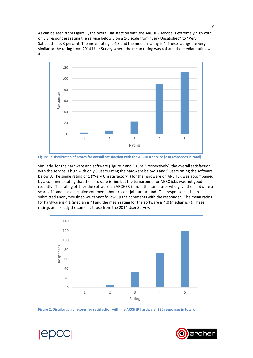As can be seen from Figure 1, the overall satisfaction with the ARCHER service is extremely high with only 8 responders rating the service below 3 on a 1-5 scale from "Very Unsatisfied" to "Very Satisfied", i.e. 3 percent. The mean rating is 4.3 and the median rating is 4. These ratings are very similar to the rating from 2014 User Survey where the mean rating was 4.4 and the median rating was 4.



Figure 1: Distribution of scores for overall satisfaction with the ARCHER service (230 responses in total).

Similarly, for the hardware and software (Figure 2 and Figure 3 respectively), the overall satisfaction with the service is high with only 5 users rating the hardware below 3 and 9 users rating the software below 3. The single rating of 1 ("Very Unsatisfactory") for the hardware on ARCHER was accompanied by a comment stating that the hardware is fine but the turnaround for NERC jobs was not good recently. The rating of 1 for the software on ARCHER is from the same user who gave the hardware a score of 1 and has a negative comment about recent job turnaround. The response has been submitted anonymously so we cannot follow up the comments with the responder. The mean rating for hardware is 4.1 (median is 4) and the mean rating for the software is 4.0 (median is 4). These ratings are exactly the same as those from the 2014 User Survey.



Figure 2: Distribution of scores for satisfaction with the ARCHER hardware (230 responses in total).



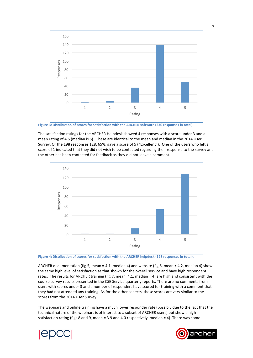

Figure 3: Distribution of scores for satisfaction with the ARCHER software (230 responses in total).

The satisfaction ratings for the ARCHER Helpdesk showed 4 responses with a score under 3 and a mean rating of 4.5 (median is 5). These are identical to the mean and median in the 2014 User Survey. Of the 198 responses 128, 65%, gave a score of 5 ("Excellent"). One of the users who left a score of 1 indicated that they did not wish to be contacted regarding their response to the survey and the other has been contacted for feedback as they did not leave a comment.



Figure 4: Distribution of scores for satisfaction with the ARCHER helpdesk (198 responses in total).

ARCHER documentation (fig 5, mean = 4.1, median 4) and website (fig 6, mean = 4.2, median 4) show the same high level of satisfaction as that shown for the overall service and have high respondent rates. The results for ARCHER training (fig 7, mean=4.1, median = 4) are high and consistent with the course survey results presented in the CSE Service quarterly reports. There are no comments from users with scores under 3 and a number of responders have scored for training with a comment that they had not attended any training. As for the other aspects, these scores are very similar to the scores from the 2014 User Survey.

The webinars and online training have a much lower responder rate (possibly due to the fact that the technical nature of the webinars is of interest to a subset of ARCHER users) but show a high satisfaction rating (figs 8 and 9, mean = 3.9 and 4.0 respectively, median = 4). There was some



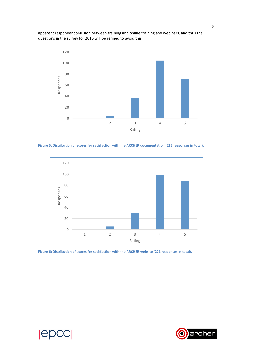

apparent responder confusion between training and online training and webinars, and thus the questions in the survey for 2016 will be refined to avoid this.

Figure 5: Distribution of scores for satisfaction with the ARCHER documentation (215 responses in total).



Figure 6: Distribution of scores for satisfaction with the ARCHER website (221 responses in total).



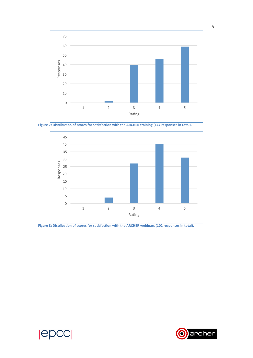

**Figure 7: Distribution of scores for satisfaction with the ARCHER training (147 responses in total).** 



Figure 8: Distribution of scores for satisfaction with the ARCHER webinars (102 responses in total).



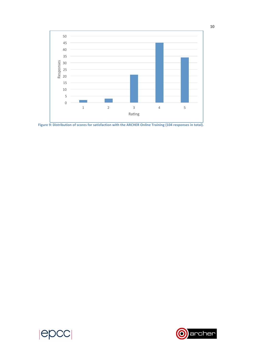

**Figure 9:** Distribution of scores for satisfaction with the ARCHER Online Training (104 responses in total).



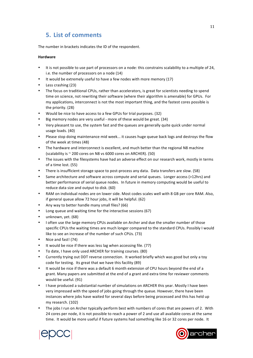## **5. List of comments**

The number in brackets indicates the ID of the respondent.

#### **Hardware**

- It is not possible to use part of processors on a node: this constrains scalability to a multiple of 24, i.e. the number of processors on a node (14)
- It would be extremely useful to have a few nodes with more memory (17)
- Less crashing (23)
- The focus on traditional CPUs, rather than accelerators, is great for scientists needing to spend time on science, not rewriting their software (where their algorithm is amenable) for GPUs. For my applications, interconnect is not the most important thing, and the fastest cores possible is the priority. (28)
- Would be nice to have access to a few GPUs for trial purposes. (32)
- Big memory nodes are very useful more of these would be great. (34)
- Very pleasant to use, the system fast and the queues are generally quite quick under normal usage loads. (40)
- Please stop doing maintenance mid week... it causes huge queue back logs and destroys the flow of the week at times (48)
- The hardware and interconnect is excellent, and much better than the regional N8 machine (scalability is  $\sim$  200 cores on N8 vs 6000 cores on ARCHER). (50)
- The issues with the filesystems have had an adverse effect on our research work, mostly in terms of a time lost. (55)
- There is insufficient storage space to post-process any data. Data transfers are slow. (58)
- Same architecture and software across compute and serial queues. Longer access (>12hrs) and better performance of serial queue nodes. In future in memory computing would be useful to reduce data size and output to disk. (60)
- RAM on individual nodes are on lower side. Most codes scales well with 8 GB per core RAM. Also, if general queue allow 72 hour jobs, it will be helpful. (62)
- Any way to better handle many small files? (66)
- Long queue and waiting time for the interactive sessions (67)
- unknown, vet. (68)
- I often use the large memory CPUs available on Archer and due the smaller number of those specific CPUs the waiting times are much longer compared to the standard CPUs. Possibly I would like to see an increase of the number of such CPUs. (73)
- Nice and fast! (74)
- It would be nice if there was less lag when accessing file. (77)
- To date, I have only used ARCHER for training courses. (80)
- Currently trying out DDT reverse connection. It worked briefly which was good but only a toy code for testing. Its great that we have this facility (89)
- It would be nice if there was a default 6 month extension of CPU hours beyond the end of a grant. Many papers are submitted at the end of a grant and extra time for reviewer comments would be useful. (91)
- I have produced a substantial number of simulations on ARCHER this year. Mostly I have been very impressed with the speed of jobs going through the queue. However, there have been instances where jobs have waited for several days before being processed and this has held up my research. (102)
- The jobs I run on Archer typically perform best with numbers of cores that are powers of 2. With 24 cores per node, it is not possible to reach a power of 2 and use all available cores at the same time. It would be more useful if future systems had something like 16 or 32 cores per node. It



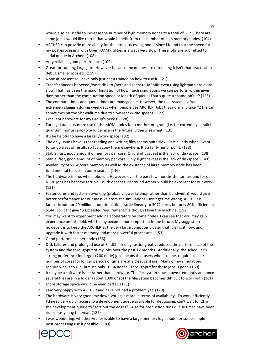would also be useful to increase the number of high memory nodes to a total of 512. There are some jobs I would like to run that would benefit from this number of high memory nodes. (104)

- ARCHER can provide more ability for the post-processing nodes since I found that the speed for my post-processing with OpenFOAM utilities is always very slow. These jobs are submitted to serial queue in Archer. (108)
- Very reliable, good performance (109)
- Great for running large jobs. However because the queues are often long it isn't that practical to debug smaller jobs etc. (119)
- None at present as I have only just been trained on how to use it (121)
- Transfer speeds between /work disk to /nerc and /nerc to JASMIN even using lightpath are quite slow. That has been the major limitation of how much simulations we can perform within given days rather than the computation speed or length of queue. That's quite a shame isn't it? (126)
- The compute times and queue times are manageable. However, the file system is often extremely sluggish during weekdays when people use ARCHER. Jobs that normally take  $\sim$ 2 hrs can sometimes hit the 5hr walltime due to slow read/write speeds. (127)
- Excellent hardware for my Group's needs! (128)
- For big data tasks more use of the MOM nodes for a mother program (i.e. for extremely parallel quantum monte carlo) would be nice in the future. Otherwise great. (131)
- It's be helpful to have a larger /work space (132)
- The only issue I have is that reading and writing files seems quite slow. Particularly when I want to tar up a set of results so I can copy them elsewhere. It's a fairly minor point. (133)
- Stable, fast, good amount of memory per core. Only slight caveat is the lack of diskspace. (138)
- Stable, fast, good amount of memory per core. Only slight caveat is the lack of diskspace. (143)
- Availability of >2GB/core memory as well as the existence of large memory node has been fundamental to sustain our research. (146)
- The hardware is fine, when jobs run. However, over the past few months the turnaround for our NERC jobs has become terrible. With decent turnaround Archer would be excellent for our work. (151)
- Faster cores and faster networking (probably lower latency rather than bandwidth) would give better performance for our massive atomistic simulations. Don't get me wrong, ARCHER is fantastic but our 40 million atom simulations scale linearly to 3072 cores but only 80% efficient at 6144. So I cant give "5 Exceeded requirements" although I love the machine. (152)
- You may want to experiment adding accelerators on some nodes. I can see that you may gain experience on this field, which may become more important in the future. My suggestion however, is to keep the ARCHER as the very large computer cluster that it is right now, and upgrade it with faster memory and more powerful processors. (153)
- Good performance per node (155)
- Disk failures and prolonged use of RaidCheck diagnostics greatly reduced the performance of the system and the throughput of my jobs over the past 12 months. Additionally, the scheduler's strong preference for large (>200 node) jobs means that users who, like me, require smaller number of cores for longer periods of time are at a disadvantage. Many of my simulations require weeks to run, but use only 16-64 nodes. Throughput for these jobs is poor. (160)
- It may be a software issue rather than hardware. The file system slows down frequently and once several files are in a folder (about 1000 or so) the filesystem becomes difficult to work with (161)
- More storage space would be even better. (171)
- I am very happy with ARCHER and have not had a problem yet. (178)
- The hardware is very good, my down-voting is more in terms of availability. To work efficiently I'd need very quick access to a development queue available for debugging, can't wait for 2h in the development queue to "sort out the edges"...Also for production runs queue times have been ridiculously long this year. (182)
- I was wondering, whether Archer is able to have a large memory login node for some simple post-processing use if possible. (183)



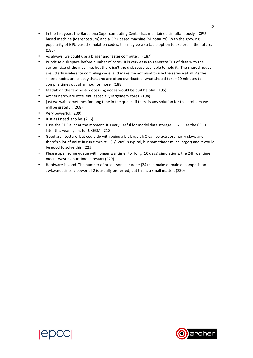- In the last years the Barcelona Supercomputing Center has maintained simultaneously a CPU based machine (Marenostrum) and a GPU based machine (Minotauro). With the growing popularity of GPU based simulation codes, this may be a suitable option to explore in the future. (186)
- As always, we could use a bigger and faster computer... (187)
- Prioritise disk space before number of cores. It is very easy to generate TBs of data with the current size of the machine, but there isn't the disk space available to hold it. The shared nodes are utterly useless for compiling code, and make me not want to use the service at all. As the shared nodes are exactly that, and are often overloaded, what should take ~10 minutes to compile times out at an hour or more. (188)
- Matlab on the few post-processing nodes would be quit helpful. (195)
- Archer hardware excellent, especially largemem cores. (198)
- just we wait sometimes for long time in the queue, if there is any solution for this problem we will be grateful. (208)
- Very powerful. (209)
- Just as I need it to be. (216)
- I use the RDF a lot at the moment. It's very useful for model data storage. I will use the CPUs later this year again, for UKESM. (218)
- Good architecture, but could do with being a bit larger. I/O can be extraordinarily slow, and there's a lot of noise in run times still  $(+/- 20\%$  is typical, but sometimes much larger) and it would be good to solve this. (225)
- Please open some queue with longer walltime. For long (10 days) simulations, the 24h walltime means wasting our time in restart (229)
- Hardware is good. The number of processors per node (24) can make domain decomposition awkward, since a power of 2 is usually preferred, but this is a small matter. (230)



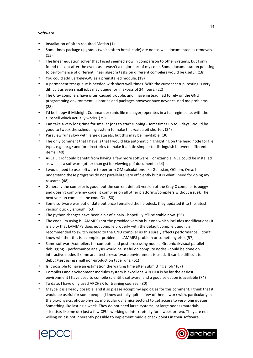#### **Software**

- Installation of often required Matlab (1)
- Sometimes package upgrades (which often break code) are not as well documented as removals. (13)
- The linear equation solver that I used seemed slow in comparison to other systems, but I only found this out after the event as it wasn't a major part of my code. Some documentation pointing to performance of different linear algebra tasks on different compilers would be useful. (18)
- You could add BerkeleyGW as a preinstalled module. (19)
- A permanent test queue is needed with short wall-times. With the current setup, testing is very difficult as even small jobs may queue for in excess of 24 hours. (22)
- The Cray compilers have often caused trouble, and I have instead had to rely on the GNU programming environment. Libraries and packages however have never caused me problems. (28)
- I'd be happy if Midnight Commander (unix file manager) operates in a full regime, i.e. with the subshell which actually works. (29)
- Can take a very long time for smaller jobs to start running sometimes up to 5 days. Would be good to tweak the scheduling system to make this wait a bit shorter. (34)
- Paraview runs slow with large datasets, but this may be inevitable. (36)
- The only comment that I have is that I would like automatic highlighting on the head node for file types e.g. tar.gz and for directories to make it a little simpler to distinguish between different items. (40)
- ARCHER rdf could benefit from having a few more software. For example, NCL could be installed as well as a software (other than gs) for viewing pdf documents. (44)
- I would need to use software to perform QM calculations like Guassian, QChem, Orca. I understand these programs do not parallelize very efficiently but it is what I need for doing my research (48)
- Generally the compiler is good, but the current default version of the Cray C compiler is buggy and doesn't compile my code (it compiles on all other platforms/compilers without issue). The next version compiles the code OK. (50)
- Some software was out of date but once I emailed the helpdesk, they updated it to the latest version quickly enough. (53)
- The python changes have been a bit of a pain hopefully it'll be stable now. (56)
- The code I'm using is LAMMPS (not the provided version but one which includes modifications).It is a pity that LAMMPS does not compile properly with the default compiler, and it is recommended to switch instead to the GNU compiler as this surely affects performance. I don't know whether this is a compiler problem, a LAMMPS problem or something else. (57)
- Same software/compilers for compute and post processing nodes. Graphical/visual parallel debugging + performance analysis would be useful on compute nodes - could be done on interactive nodes if same architecture+software environment is used. It can be difficult to debug/test using small non-production type runs. (61)
- Is it possible to have an estimation the waiting time after submitting a job? (67)
- Compilers and environment modules system is excellent. ARCHER is by far the easiest environment I have used to compile scientific software, and a good selection is available (74)
- To date, I have only used ARCHER for training courses. (80)
- Maybe it is already possible, and if so please accept my apologies for this comment. I think that it would be useful for some people (I know actually quite a few of them I work with, particularly in the bio-physics, photo-physics, molecular dynamics sectors) to get access to very-long queues. Something like lasting a week. They do not need large systems, or large nodes (materials scientists like me do) just a few CPUs working uninterruptedly for a week or two. They are not willing or it is not inherently possible to implement middle check points in their software.



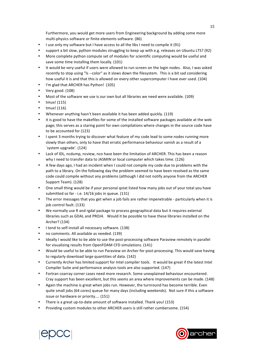Furthermore, you would get more users from Engineering background by adding some more multi-physics software or finite elements software. (86)

- I use only my software but I have access to all the libs I need to compile it (91)
- support a bit slow, python modules struggling to keep up with e.g. releases on Ubuntu LTS? (92)
- More complete python compute set of modules for scientific computing would be useful and save some time installing them locally. (101)
- It would be very useful if users were allowed to run screen on the login nodes. Also, I was asked recently to stop using "Is --color" as it slows down the filesystem. This is a bit sad considering how useful it is and that this is allowed on every other supercomputer I have ever used. (104)
- I'm glad that ARCHER has Python! (105)
- Very good. (108)
- Most of the software we use is our own but all libraries we need were available. (109)
- tmux! (115)
- $\cdot$  tmux! (116)
- Whenever anything hasn't been available it has been added quickly. (119)
- it is good to have the makefiles for some of the installed software packages available at the web page; this serves as a staring point for own compilations where changes in the source code have to be accounted for (123)
- I spent 3 months trying to discover what feature of my code lead to some nodes running more slowly than others, only to have that erratic performance behaviour vanish as a result of a `system upgrade'. (124)
- Lack of IDL, ncdump, ncview, nco have been the limitation of ARCHER. This has been a reason why I need to transfer data to JASMIN or local computer which takes time. (126)
- A few days ago, I had an incident when I could not compile my code due to problems with the path to a library. On the following day the problem seemed to have been resolved as the same code could compile without any problems (although I did not notify anyone from the ARCHER Support Team). (128)
- One small thing would be if your personal qstat listed how many jobs out of your total you have submitted so far - i.e.  $14/16$  jobs in queue.  $(131)$
- The error messages that you get when a job fails are rather impenetrable particularly when it is job control fault. (133)
- We normally use R and rgdal package to process geographical data but it requires external libraries such as GDAL and PROJ4. Would it be possible to have these libraries installed on the Archer? (134)
- I tend to self-install all necessary software. (138)
- no comments. All available as needed. (139)
- Ideally I would like to be able to use the post-processing software Paraview remotely in parallel for visualizing results from OpenFOAM CFD simulations. (141)
- Would be useful to be able to run Paraview on Archer for post-processing. This would save having to regularly download large quantities of data. (142)
- Currently Archer has limited support for Intel compiler tools. It would be great if the latest Intel Compiler Suite and performance analysis tools are also supported. (147)
- Fortran coarray corner cases need more research. Some unexplained behaviour encountered. Cray support has been excellent, but this seems an area where improvements can be made. (148)
- Again the machine is great when jobs run. However, the turnround has become terrible. Even quite small jobs (64 cores) queue for many days (including weekends). Not sure if this a software issue or hardware or priority.... (151)
- There is a great up-to-date amount of software installed. Thank you! (153)
- Providing custom modules to other ARCHER users is still rather cumbersome. (154)



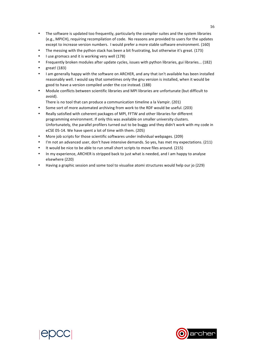- The software is updated too frequently, particularly the compiler suites and the system libraries (e.g., MPICH), requiring recompilation of code. No reasons are provided to users for the updates except to increase version numbers. I would prefer a more stable software environment. (160)
- The messing with the python stack has been a bit frustrating, but otherwise it's great. (173)
- I use gromacs and it is working very well (178)
- Frequently broken modules after update cycles, issues with python libraries, gui libraries... (182)
- great! (183)
- I am generally happy with the software on ARCHER, and any that isn't available has been installed reasonably well. I would say that sometimes only the gnu version is installed, when it would be good to have a version compiled under the cce instead. (188)
- Module conflicts between scientific libraries and MPI libraries are unfortunate (but difficult to avoid).
	- There is no tool that can produce a communication timeline a la Vampir. (201)
- Some sort of more automated archiving from work to the RDF would be useful. (203)
- Really satisfied with coherent packages of MPI, FFTW and other libraries for different programming environment. If only this was available on smaller university clusters. Unfortunately, the parallel profilers turned out to be buggy and they didn't work with my code in eCSE 05-14. We have spent a lot of time with them. (205)
- More job scripts for those scientific softwares under individual webpages. (209)
- I'm not an advanced user, don't have intensive demands. So yes, has met my expectations. (211)
- It would be nice to be able to run small short scripts to move files around. (215)
- In my experience, ARCHER is stripped back to just what is needed, and I am happy to analyse elsewhere (220)
- Having a graphic session and some tool to visualise atomi structures would help our jo (229)



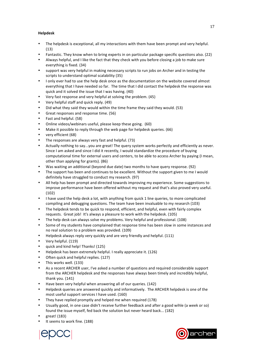#### **Helpdesk**

- The helpdesk is exceptional, all my interactions with them have been prompt and very helpful. (13)
- Fantastic. They know when to bring experts in on particular package specific questions also. (22)
- Always helpful, and I like the fact that they check with you before closing a job to make sure everything is fixed. (34)
- support was very helpful in making necessary scripts to run jobs on Archer and in testing the scripts to understand optimal scalability (35)
- I only ever had to use the help desk once as the documentation on the website covered almost everything that I have needed so far. The time that I did contact the helpdesk the response was quick and it solved the issue that I was having. (40)
- Very fast response and very helpful at solving the problem. (45)
- Very helpful staff and quick reply. (49)
- Did what they said they would within the time frame they said they would. (53)
- Great responses and response time. (56)
- Fast and helpful. (58)
- Online videos/webinars useful, please keep these going. (60)
- Make it possible to reply through the web page for helpdesk queries. (66)
- very efficient (68)
- The responses are always very fast and helpful. (73)
- Actually nothing to say...you are great! The query system works perfectly and efficiently as never. Since I am asked and since I did it recently, I would standardize the procedure of buying computational time for external users and centers, to be able to access Archer by paying (I mean, other than applying for grants). (86)
- Was waiting an additional (beyond due date) two months to have query response. (92)
- The support has been and continues to be excellent. Without the support given to me I would definitely have struggled to conduct my research. (97)
- All help has been prompt and directed towards improving my experience. Some suggestions to improve performance have been offered without my request and that's also proved very useful. (102)
- I have used the help desk a lot, with anything from quick 1 line queries, to more complicated compiling and debugging questions. The team have been invaluable to my research (103)
- The helpdesk tends to be quick to respond, efficient, and helpful, even with fairly complex requests. Great job! It's always a pleasure to work with the helpdesk. (105)
- The help desk can always solve my problems. Very helpful and professional. (108)
- Some of my students have complained that response time has been slow in some instances and no real solution to a problem was provided. (109)
- Helpdesk always reply very quickly and are very friendly and helpful. (111)
- Very helpful. (119)
- quick and kind help! Thanks! (125)
- Helpdesk has been extremely helpful. I really appreciate it. (126)
- Often quick and helpful replies. (127)
- This works well. (133)
- As a recent ARCHER user, I've asked a number of questions and required considerable support from the ARCHER helpdesk and the responses have always been timely and incredibly helpful, thank you. (141)
- Have been very helpful when answering all of our queries. (142)
- Helpdesk queries are answered quickly and informatively. The ARCHER helpdesk is one of the most useful support services I have used. (160)
- They have replied promptly and helped me when required (178)
- Usually good, in one case didn't receive further feedback and after a good wihle (a week or so) found the issue myself, fed back the solution but never heard back... (182)
- great! (183)
- It seems to work fine. (188)



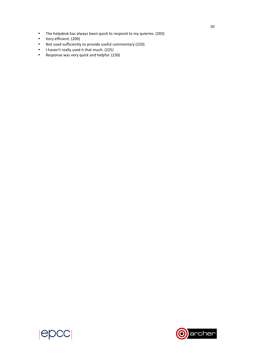- The helpdesk has always been quick to respond to my quieries (203)<br>• Very efficient. (209)
- Very efficient. (209)
- Not used sufficiently to provide useful commentary (220)
- I haven't really used it that much. (225)
- Response was very quick and helpful. (230)



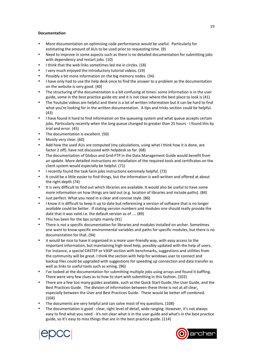#### **Documentation**

- More documentation on optimising code performance would be useful. Particularly for estimating the amount of AUs to be used prior to requesting time. (9)
- Need to improve in some aspects such as there is no detailed documentation for submitting jobs with dependency and restart iobs. (10)
- I think that the web links sometimes led me in circles. (18)
- I very much enjoyed the introductory tutorial videos. (19)
- Possibly a bit more information on the big memory nodes. (34)
- I have only had to use the help desk once to find the answer to a problem as the documentation on the website is very good. (40)
- The structuring of the documentation is a bit confusing at times: some information is in the user guide, some in the best practice guide etc and it is not clear where the best place to look is (41)
- The Youtube videos are helpful and there is a lot of written information but it can be hard to find what you're looking for in the written documentation. A tips and tricks section could be helpful. (43)
- I have found it hard to find information on the queueing system and what queue accepts certain jobs. Particularly recently when the long queue changed to greater than 25 hours - I found this by trial and error. (45)
- The documentation is excellent. (50)
- Mostly very clear. (60)
- Add how the used AUs are computed (my calculations, using what I think how it is done, are factor 2 off). have not discussed with helpdesk so far. (68)
- The documentation of Globus and Grid-FTP in the Data Management Guide would benefit from an update. More detailed instructions on installation of the required tools and certificates on the client system would especially be helpful. (71)
- I recently found the task farm jobs instructions extremely helpful. (73)
- It could be a little easier to find things, but the information is well-written and offered at about the right depth (74)
- It is very difficult to find out which libraries are available. It would also be useful to have some more information on how things are laid out (e.g. location of libraries and include paths). (84)
- Just perfect. What you need in a clear and concise style. (86)
- I know it is difficult to keep it up to date but referencing a version of software that is no longer available could be better. If stating version numbers and modules one should really provide the date that it was valid.i.e. the default version as of .... (89)
- This has been for the bps scripts mainly (91)
- There is not a specific documentation for libraries and modules installed on archer. Sometimes one want to know specific environmental variables and paths for specific modules, but there is no documentation for that. (94)
- it would be nice to have it organized in a more user-friendly way, with easy access to the important information, but maintaining high-level help, possibly updated with the help of users. For instance, a special CASTEP or VASP section with benchmarks, suggestions and utilities from the community will be great. I think the section with help for windows user to connect and backup files could be upgraded with suggestions for speeding up connection and data transfer as well as links to useful tools such as xming. (96)
- I've looked at the documentation for submitting multiple jobs using arrays and found it baffling. There were very few clues as to how to start with submitting in this fashion. (102)
- There are a few too many guides available, such as the Quick Start Guide, the User Guide, and the Best Practices Guide. The division of information between these three is not at all clear, especially between the User and Best Practices Guide. These would be better off combined. (104)
- The documents are very helpful and can solve most of my questions. (108)
- The documentation is good clear, right level of detail, wide ranging. However, it's not always easy to find what you need - it's not clear what is in the user guide and what's in the best practice guide, so it's easy to miss things that are in the best practice guide. (114)



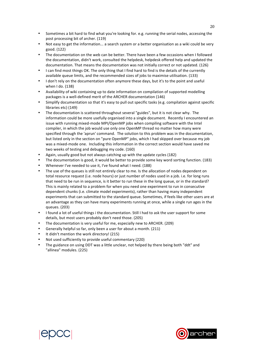- Sometimes a bit hard to find what you're looking for. e.g. running the serial nodes, accessing the post processing bit of archer. (119)
- Not easy to get the information... a search system or a better organisation as a wiki could be very good. (122)
- The documentation on the web can be better. There have been a few occasions when I followed the documentation, didn't work, consulted the helpdesk, helpdesk offered help and updated the documentation. That means the documentation was not initially correct or not updated. (126)
- I can find most things OK. The only thing that I find hard to find is the details of the currently available queue limits, and the recommended sizes of jobs to maximise utilisation. (133)
- I don't rely on the documentation often anymore these days, but it's to the point and useful when I do. (138)
- Availability of wiki containing up to date information on compilation of supported modelling packages is a well-defined merit of the ARCHER documentation (146)
- Simplify documentation so that it's easy to pull out specific tasks (e.g. compilation against specific libraries etc) (149)
- The documentation is scattered throughout several "guides", but it is not clear why. The information could be more usefully organised into a single document. Recently I encountered an issue with running mixed-mode MPI/OpenMP jobs when compiling software with the Intel compiler, in which the job would use only one OpenMP thread no matter how many were specified through the 'aprun' command. The solution to this problem was in the documentation. but listed only in the section on "pure OpenMP" jobs, which I had skipped over because my job was a mixed-mode one. Including this information in the correct section would have saved me two weeks of testing and debugging my code. (160)
- Again, usually good but not always catching up with the update cycles (182)
- The documentation is good, it would be better to provide some key word sorting function. (183)
- Whenever I've needed to use it, I've found what I need. (188)
- The use of the queues is still not entirely clear to me. Is the allocation of nodes dependent on total resource request (i.e. node hours) or just number of nodes used in a job. i.e. for long runs that need to be run in sequence, is it better to run these in the long queue, or in the standard? This is mainly related to a problem for when you need one experiment to run in consecutive dependent chunks (i.e. climate model experiments), rather than having many independent experiments that can submitted to the standard queue. Sometimes, if feels like other users are at an advantage as they can have many experiments running at once, while a single run ages in the queues. (203)
- I found a lot of useful things i the documentation. Still I had to ask the user support for some details, but most users probably don't need those. (205)
- The documentation is very useful for me, especially new to ARCHER. (209)
- Generally helpful so far, only been a user for about a month. (211)
- It didn't mention the work directory! (215)
- Not used sufficiently to provide useful commentary (220)
- The guidance on using DDT was a little unclear, not helped by there being both "ddt" and "allinea" modules. (225)



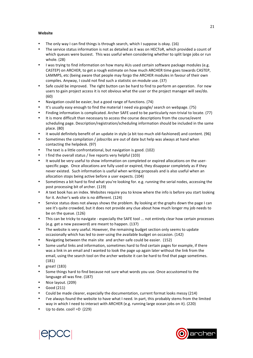#### **Website**

- The only way I can find things is through search, which I suppose is okay.  $(16)$
- The service status information is not as detailed as it was on HECToR, which provided a count of which queues were busiest. This was useful when considering whether to split large jobs or run whole. (28)
- I was trying to find information on how many AUs used certain software package modules (e.g. CASTEP) on ARCHER, to get a rough estimate on how much ARCHER time goes towards CASTEP, LAMMPS, etc (being aware that people may forgo the ARCHER modules in favour of their own compiles. Anyway, I could not find such a statistic on module use. (37)
- Safe could be improved. The right button can be hard to find to perform an operation. For new users to gain project access it is not obvious what the user or the project manager will see/do. (60)
- Navigation could be easier, but a good range of functions. (74)
- It's usually easy enough to find the material I need via google/ search on webpage. (75)
- Finding information is complicated. Archer SAFE used to be particularly non-trivial to locate. (77)
- It is more difficult than necessary to access the course descriptions from the course/event scheduling page. Description/registration/scheduling information should be included in the same place. (80)
- it would definitely benefit of an update in style (a bit too much old-fashioned) and content. (96)
- Sometimes the compilation / jobscribs are out of date but help was always at hand when contacting the helpdesk. (97)
- The text is a little confrontational, but navigation is good. (102)
- I find the overall status / live reports very helpful (103)
- It would be very useful to show information on completed or expired allocations on the userspecific page. Once allocations are fully used or expired, they disappear completely as if they never existed. Such information is useful when writing proposals and is also useful when an allocation stops being active before a user expects. (104)
- Sometimes a bit hard to find what you're looking for. e.g. running the serial nodes, accessing the post processing bit of archer. (119)
- A text book has an index. Websites require you to know where the info is before you start looking for it. Archer's web site is no different. (124)
- Service status does not always shows the problem. By looking at the graphs down the page I can see it's quite crowded, but it does not provide any clue about how much longer my job needs to be on the queue. (126)
- This can be tricky to navigate especially the SAFE tool ... not entirely clear how certain processes (e.g. get a new password) are meant to happen. (137)
- The website is very useful. However, the remaining budget section only seems to update occasionally which has led to over-using the available budget on occasion. (142)
- Navigating between the main site and archer-safe could be easier. (152)
- Some useful links and information, sometimes hard to find certain pages for example, if there was a link in an email and I wanted to look the page up again later without the link from the email, using the search tool on the archer website it can be hard to find that page sometimes. (181)
- great! (183)
- Some things hard to find because not sure what words you use. Once accustomed to the language all was fine. (187)
- Nice layout. (209)
- Good (211)
- Could be made clearer, especially the documentation, current format looks messy (214)
- I've always found the website to have what I need. In part, this probably stems from the limited way in which I need to interact with ARCHER (e.g. running large ocean jobs on it). (220)
- Up to date.  $cool! = D$  (229)



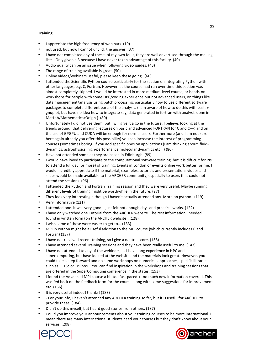#### **Training**

- I appreciate the high frequency of webinars. (19)
- not used, but now I cannot unclick the answer. (37)
- I have not completed any of these, of my own fault, they are well advertised through the mailing lists. Only given a 3 because I have never taken advantage of this facility. (40)
- Audio quality can be an issue when following video guides. (43)
- The range of training available is great. (50)
- Online videos/webinars useful, please keep these going. (60)
- I attended the Scientific Python course particularly for the section on integrating Python with other languages, e.g. C, Fortran. However, as the course had run over time this section was almost completely skipped. I would be interested in more medium-level course, or hands-on workshops for people with some HPC/coding experience but not advanced users, on things like data management/analysis using batch processing, particularly how to use different software packages to complete different parts of the analysis. (I am aware of how to do this with bash + gnuplot, but have no idea how to integrate say, data generated in fortran with analysis done in MatLab/Mathematica/Origin.) (80)
- Unfortunately I did not use them, but I will give it a go in the future. I believe, looking at the trends around, that delivering lectures on basic and advanced FORTRAN (or C and C++) and on the use of GPGPU and CUDA will be enough for normal users. Furthermore (and I am not sure here again already you offer this possibility) you can increase the interest of programming courses (sometimes boring) if you add specific ones on applications (I am thinking about fluiddynamics, astrophysics, high-performance molecular dynamics etc...) (86)
- Have not attended some as they are based in Edinburgh. (89)
- I would have loved to participate to the computational software training, but it is difficult for PIs to attend a full day (or more) of training. Events in London or events online work better for me. I would incredibly appreciate if the material, examples, tutorials and presentations videos and slides would be made available to the ARCHER community, especially to users that could not attend the sessions. (96)
- I attended the Python and Fortran Training session and they were very useful. Maybe running different levels of training might be worthwhile in the future. (97)
- They look very interesting although I haven't actually attended any. More on python. (119)
- Very informative (121)
- I attended one. it was very good. I just felt not enough days and practical works. (122)
- I have only watched one Tutorial from the ARCHER website. The rest information I needed I found in written form (on the ARCHER website). (128)
- I wish some of these were easier to get to... (133)
- MPI in Python might be a useful addition to the MPI course (which currently includes C and Fortran) (137)
- I have not received recent training, so I give a neutral score. (138)
- I have attended several Training sessions and they have been really useful to me. (147)
- I have not attended to any of the webinars, as I have long experience in HPC and supercomputing, but have looked at the website and the materials look great. However, you could take a step forward and do some workshops on numerical approaches, specific libraries such as PETSc or Trilinos... You can find inspiration in the workshops and training sessions that are offered in the SuperComputing conference in the states. (153)
- I found the Advanced MPI course a bit too fast paced + too much new information covered. This was fed back on the feedback form for the course along with some suggestions for improvement etc. (156)
- It is very useful indeed! thanks! (183)
- For your info, I haven't attended any ARCHER training so far, but it is useful for ARCHER to provide these. (184)
- Didn't do this myself, but heard good stories from others. (187)
- Could you improve your announcements about your training courses to be more international. I mean there are many international students need your courses but they don't know about your services. (208)



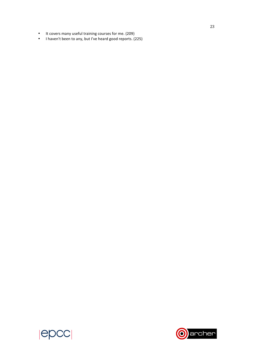- It covers many useful training courses for me. (209)
- I haven't been to any, but I've heard good reports. (225)



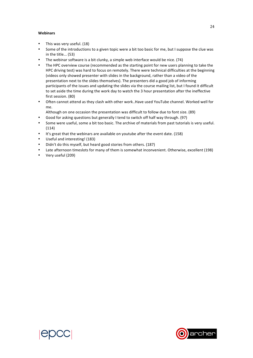#### **Webinars**

- This was very useful. (18)
- Some of the introductions to a given topic were a bit too basic for me, but I suppose the clue was in the title... (53)
- The webinar software is a bit clunky, a simple web interface would be nice.  $(74)$
- The HPC overview course (recommended as the starting point for new users planning to take the HPC driving test) was hard to focus on remotely. There were technical difficulties at the beginning (videos only showed presenter with slides in the background, rather than a video of the presentation next to the slides themselves). The presenters did a good job of informing participants of the issues and updating the slides via the course mailing list, but I found it difficult to set aside the time during the work day to watch the 3 hour presentation after the ineffective first session. (80)
- Often cannot attend as they clash with other work..Have used YouTube channel. Worked well for me.
	- Although on one occasion the presentation was difficult to follow due to font size. (89)
- Good for asking questions but generally I tend to switch off half way through. (97)
- Some were useful, some a bit too basic. The archive of materials from past tutorials is very useful. (114)
- It's great that the webinars are available on youtube after the event date. (158)
- Useful and interesting! (183)
- Didn't do this myself, but heard good stories from others. (187)
- Late afternoon timeslots for many of them is somewhat inconvenient. Otherwise, excellent (198)
- Very useful (209)



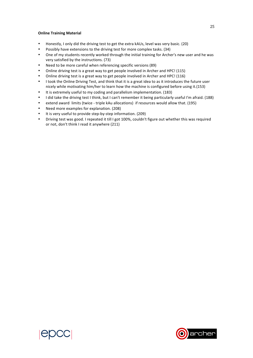#### **Online Training Material**

- Honestly, I only did the driving test to get the extra kAUs, level was very basic. (20)
- Possibly have extensions to the driving test for more complex tasks. (34)
- One of my students recently worked through the initial training for Archer's new user and he was very satisfied by the instructions. (73)
- Need to be more careful when referencing specific versions (89)
- Online driving test is a great way to get people involved in Archer and HPC! (115)
- Online driving test is a great way to get people involved in Archer and HPC! (116)
- I took the Online Driving Test, and think that it is a great idea to as it introduces the future user nicely while motivating him/her to learn how the machine is configured before using it.(153)
- It is extremely useful to my coding and parallelism implementation. (183)
- I did take the driving test I think, but I can't remember it being particularly useful I'm afraid. (188)
- extend award limits (twice triple kAu allocations) if resources would allow that. (195)
- Need more examples for explanation. (208)
- It is very useful to provide step-by-step information. (209)
- Driving test was good. I repeated it till I got 100%, couldn't figure out whether this was required or not, don't think I read it anywhere (211)





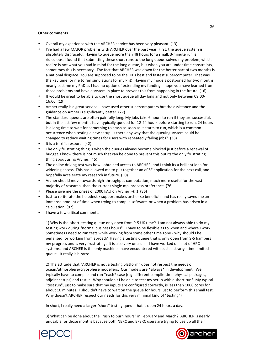#### **Other comments**

- Overall my experience with the ARCHER service has been very pleasant. (13)
- I've had a few MAJOR problems with ARCHER over the past year. First, the queue system is absolutely disgraceful. Having to queue more than 48 hours for a small, 3-minute run is ridiculous. I found that submitting these short runs to the long queue solved my problem, which I realize is not what you had in mind for the long queue, but when you are under time constraints, sometimes this is necessary. The fact that ARCHER was down for the better part of two months is a national disgrace. You are supposed to be the UK's best and fastest supercomputer. That was the key time for me to run simulations for my PhD. Having my models postponed for two months nearly cost me my PhD as I had no option of extending my funding. I hope you have learned from those problems and have a system in place to prevent this from happening in the future. (16)
- It would be great to be able to use the short queue all day long and not only between 09:00-16:00. (19)
- Archer really is a great service. I have used other supercomputers but the assistance and the guidance on Archer is significantly better. (27)
- The standard queues are often painfully long. My jobs take 6 hours to run if they are successful, but in the last few months have typically queued for 12-24 hours before starting to run. 24 hours is a long time to wait for something to crash as soon as it starts to run, which is a common occurrence when testing a new setup. Is there any way that the queuing system could be changed to reduce waiting times for users with repeatedly failing jobs? (38)
- It is a terrific resource (42)
- The only frustrating thing is when the queues always become blocked just before a renewal of budget. I know there is not much that can be done to prevent this but its the only frustrating thing about using Archer. (45)
- The online driving test was how I obtained access to ARCHER, and I think its a brilliant idea for widening access. This has allowed me to put together an eCSE application for the next call, and hopefully accelerate my research in future. (50)
- Archer should move towards high-throughput computation, much more useful for the vast majority of research, than the current single mpi process preference. (76)
- Please give me the prizes of 2000 kAU on Archer ;-)!!! (86)
- Just to re-iterate the helpdesk / support makes archer so beneficial and has really saved me an immense amount of time when trying to compile software, or when a problem has arisen in a calculation. (97)
- I have a few critical comments.

1) Why is the 'short' testing queue only open from 9-5 UK time? I am not always able to do my testing work during "normal business hours". I have to be flexible as to when and where I work. Sometimes I need to run tests while working from some other time zone - why should I be penalised for working from abroad? Having a testing queue that is only open from 9-5 hampers my progress and is very frustrating. It is also very unusual - I have worked on a lot of HPC systems, and ARCHER is the only machine I have encountered with such a strange time-limited queue. It really is bizarre.

2) The attitude that "ARCHER is not a testing platform" does not respect the needs of ocean/atmosphere/cryosphere modellers. Our models are \*always\* in development. We typically have to compile and run \*each\* case (e.g. different compile-time physical packages, adjoint setups) and test it. Why shouldn't I be able to test my setup with a short run? My typical "test run", just to make sure that my inputs are configured correctly, is less than 1000 cores for about 10 minutes. I shouldn't have to wait on the queue for hours just to perform this small test. Why doesn't ARCHER respect our needs for this very minimal kind of "testing"?

In short, I really need a larger "short" testing queue that is open 24 hours a day.

3) What can be done about the "rush to burn hours" in February and March? ARCHER is nearly unusable for those months because both NERC and EPSRC users are trying to use up all their



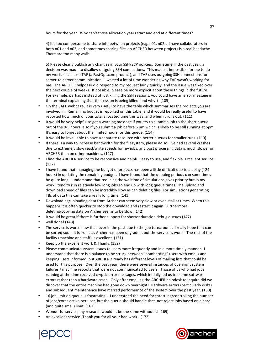hours for the year. Why can't those allocation years start and end at different times?

4) It's too cumbersome to share info between projects (e.g. n01, n02). I have collaborators in both n01 and n02, and sometimes sharing files on ARCHER between projects is a real headache. There are too many walls.

5) Please clearly publish any changes in your SSH/SCP policies. Sometime in the past year, a decision was made to disallow outgoing SSH connections. This made it impossible for me to do my work, since I use TAF (a FastOpt.com product), and TAF uses outgoing SSH connections for server-to-server communication. I wasted a lot of time wondering why TAF wasn't working for me. The ARCHER helpdesk did respond to my request fairly quickly, and the issue was fixed over the next couple of weeks. If possible, please be more explicit about these things in the future. For example, perhaps instead of just killing the SSH sessions, you could have an error message in the terminal explaining that the session is being killed (and why)?  $(105)$ 

- On the SAFE webpage, it is very useful to have the table which summarises the projects you are involved in. Remaining budget is reported on this table, and it would be really useful to have reported how much of your total allocated time this was, and when it runs out. (111)
- It would be very helpful to get a warning message if you try to submit a job to the short queue out of the 9-5 hours; also if you submit a job before 5 pm which is likely to be still running at 5pm. It's easy to forget about the limited hours for this queue. (114)
- It would be invaluable to have a separate resource with better queues for smaller runs. (119)
- If there is a way to increase bandwidth for the filesystem, please do so. I've had several crashes due to extremely slow read/write speeds for my jobs, and post processing data is much slower on ARCHER than on other machines. (127)
- I find the ARCHER service to be responsive and helpful, easy to use, and flexible. Excellent service. (132)
- I have found that managing the budget of projects has been a little difficult due to a delay ( $\approx$ 24 hours) in updating the remaining budget. I have found that the queuing periods can sometimes be quite long. I understand that reducing the walltime of simulations gives priority but in my work I tend to run relatively few long jobs so end up with long queue times. The upload and download speed of files can be incredibly slow as can deleting files. For simulations generating TBs of data this can take a really long time. (141)
- Downloading/uploading data from Archer can seem very slow or even stall at times. When this happens it is often quicker to stop the download and restart it again. Furthermore, deleting/copying data on Archer seems to be slow. (142)
- It would be great if there is further support for shorter duration debug queues (147)
- well done! (148)
- The service is worse now than ever in the past due to the job turnaround. I really hope that can be sorted soon. It is ironic as Archer has been upgraded, but the service is worse. The rest of the facility (machine and staff) is excellent. (151)
- Keep up the excellent work & Thanks (152)
- Please communicate system issues to users more frequently and in a more timely manner. I understand that there is a balance to be struck between "bombarding" users with emails and keeping users informed, but ARCHER already has different levels of mailing lists that could be used for this purpose. Over the past year, there were several instances of overnight system failures / machine reboots that were not communicated to users. Those of us who had jobs running at the time received cryptic error messages, which initially led us to blame software errors rather than a hardware crash. Only after emailing the ARCHER helpdesk to inquire did we discover that the entire machine had gone down overnight! Hardware errors (particularly disks) and subsequent maintenance have marred performance of the system over the past year. (160)
- 16 job limit on queue is frustrating -- I understand the need for throttling/controlling the number of jobs/cores active per user, but the queue should handle that, not reject jobs based on a hard (and quite small) limit. (167)
- Wonderful service, my research wouldn't be the same without it! (169)
- An excellent service! Thank you for all your had work! (172)